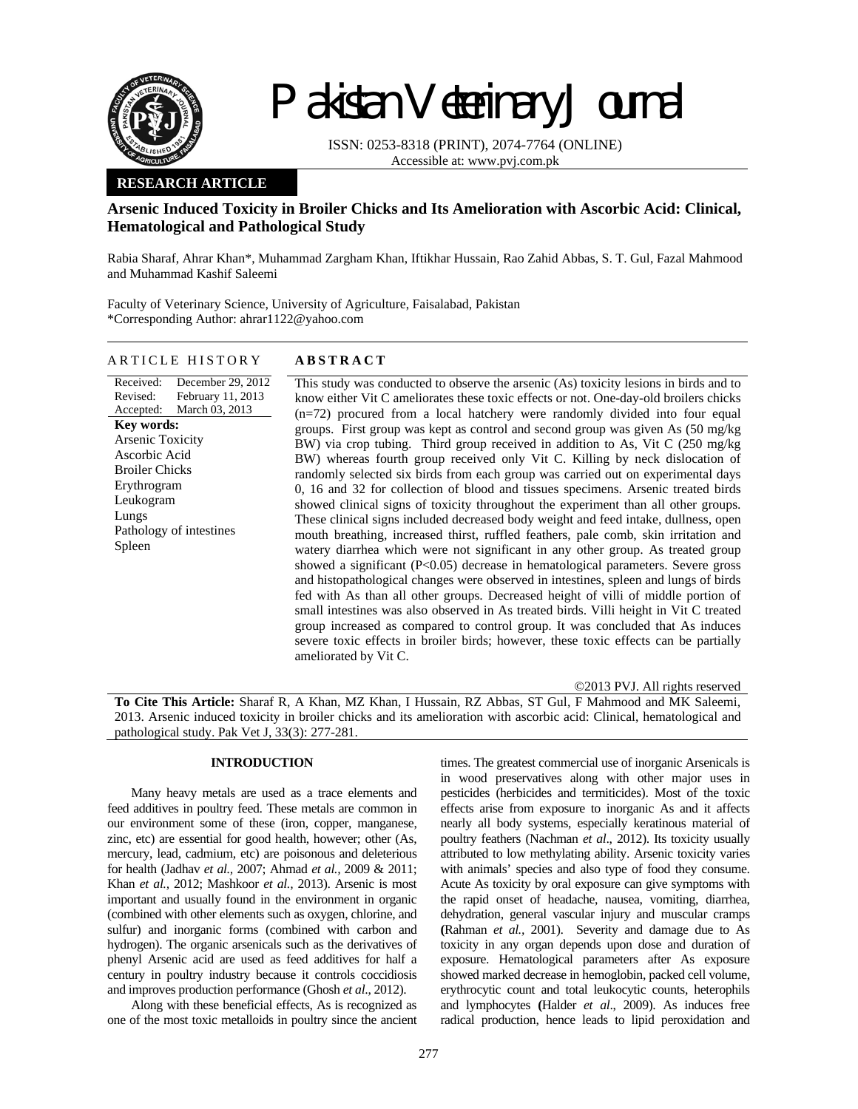

# Pakistan Veterinary Journal

ISSN: 0253-8318 (PRINT), 2074-7764 (ONLINE) Accessible at: www.pvj.com.pk

## **RESEARCH ARTICLE**

## **Arsenic Induced Toxicity in Broiler Chicks and Its Amelioration with Ascorbic Acid: Clinical, Hematological and Pathological Study**

Rabia Sharaf, Ahrar Khan\*, Muhammad Zargham Khan, Iftikhar Hussain, Rao Zahid Abbas, S. T. Gul, Fazal Mahmood and Muhammad Kashif Saleemi

Faculty of Veterinary Science, University of Agriculture, Faisalabad, Pakistan \*Corresponding Author: ahrar1122@yahoo.com

## ARTICLE HISTORY **ABSTRACT**

Received: Revised: Accepted: December 29, 2012 February 11, 2013 March 03, 2013 **Key words:**  Arsenic Toxicity Ascorbic Acid Broiler Chicks Erythrogram Leukogram Lungs Pathology of intestines Spleen

This study was conducted to observe the arsenic (As) toxicity lesions in birds and to know either Vit C ameliorates these toxic effects or not. One-day-old broilers chicks (n=72) procured from a local hatchery were randomly divided into four equal groups. First group was kept as control and second group was given As (50 mg/kg BW) via crop tubing. Third group received in addition to As, Vit C (250 mg/kg BW) whereas fourth group received only Vit C. Killing by neck dislocation of randomly selected six birds from each group was carried out on experimental days 0, 16 and 32 for collection of blood and tissues specimens. Arsenic treated birds showed clinical signs of toxicity throughout the experiment than all other groups. These clinical signs included decreased body weight and feed intake, dullness, open mouth breathing, increased thirst, ruffled feathers, pale comb, skin irritation and watery diarrhea which were not significant in any other group. As treated group showed a significant (P<0.05) decrease in hematological parameters. Severe gross and histopathological changes were observed in intestines, spleen and lungs of birds fed with As than all other groups. Decreased height of villi of middle portion of small intestines was also observed in As treated birds. Villi height in Vit C treated group increased as compared to control group. It was concluded that As induces severe toxic effects in broiler birds; however, these toxic effects can be partially ameliorated by Vit C.

©2013 PVJ. All rights reserved

**To Cite This Article:** Sharaf R, A Khan, MZ Khan, I Hussain, RZ Abbas, ST Gul, F Mahmood and MK Saleemi, 2013. Arsenic induced toxicity in broiler chicks and its amelioration with ascorbic acid: Clinical, hematological and pathological study. Pak Vet J, 33(3): 277-281.

## **INTRODUCTION**

Many heavy metals are used as a trace elements and feed additives in poultry feed. These metals are common in our environment some of these (iron, copper, manganese, zinc, etc) are essential for good health, however; other (As, mercury, lead, cadmium, etc) are poisonous and deleterious for health (Jadhav *et al.,* 2007; Ahmad *et al.,* 2009 & 2011; Khan *et al.,* 2012; Mashkoor *et al.,* 2013). Arsenic is most important and usually found in the environment in organic (combined with other elements such as oxygen, chlorine, and sulfur) and inorganic forms (combined with carbon and hydrogen). The organic arsenicals such as the derivatives of phenyl Arsenic acid are used as feed additives for half a century in poultry industry because it controls coccidiosis and improves production performance (Ghosh *et al*., 2012).

Along with these beneficial effects, As is recognized as one of the most toxic metalloids in poultry since the ancient times. The greatest commercial use of inorganic Arsenicals is in wood preservatives along with other major uses in pesticides (herbicides and termiticides). Most of the toxic effects arise from exposure to inorganic As and it affects nearly all body systems, especially keratinous material of poultry feathers (Nachman *et al*., 2012). Its toxicity usually attributed to low methylating ability. Arsenic toxicity varies with animals' species and also type of food they consume. Acute As toxicity by oral exposure can give symptoms with the rapid onset of headache, nausea, vomiting, diarrhea, dehydration, general vascular injury and muscular cramps **(**Rahman *et al.,* 2001). Severity and damage due to As toxicity in any organ depends upon dose and duration of exposure. Hematological parameters after As exposure showed marked decrease in hemoglobin, packed cell volume, erythrocytic count and total leukocytic counts, heterophils and lymphocytes **(**Halder *et al*., 2009). As induces free radical production, hence leads to lipid peroxidation and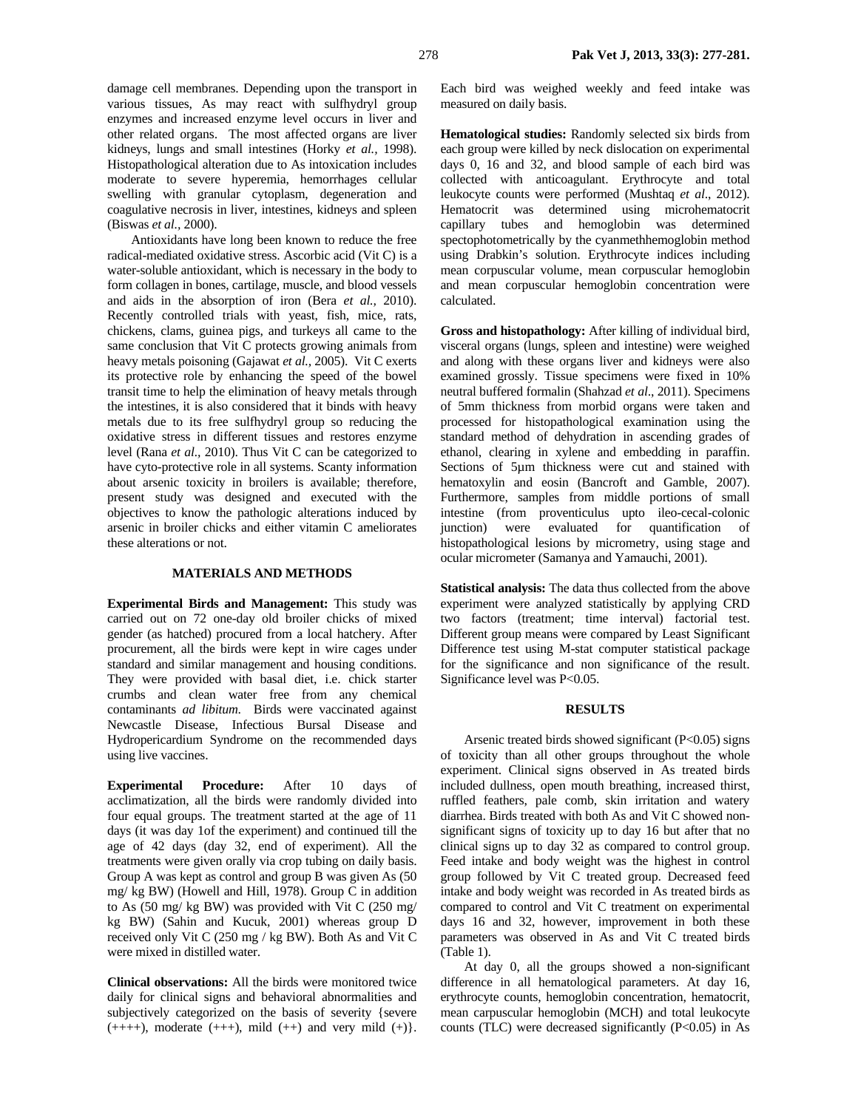damage cell membranes. Depending upon the transport in various tissues, As may react with sulfhydryl group enzymes and increased enzyme level occurs in liver and other related organs. The most affected organs are liver kidneys, lungs and small intestines (Horky *et al.,* 1998). Histopathological alteration due to As intoxication includes moderate to severe hyperemia, hemorrhages cellular swelling with granular cytoplasm, degeneration and coagulative necrosis in liver, intestines, kidneys and spleen (Biswas *et al.,* 2000).

Antioxidants have long been known to reduce the free radical-mediated oxidative stress. Ascorbic acid (Vit C) is a water-soluble antioxidant, which is necessary in the body to form collagen in bones, cartilage, muscle, and blood vessels and aids in the absorption of iron (Bera *et al.,* 2010). Recently controlled trials with yeast, fish, mice, rats, chickens, clams, guinea pigs, and turkeys all came to the same conclusion that Vit C protects growing animals from heavy metals poisoning (Gajawat *et al.,* 2005). Vit C exerts its protective role by enhancing the speed of the bowel transit time to help the elimination of heavy metals through the intestines, it is also considered that it binds with heavy metals due to its free sulfhydryl group so reducing the oxidative stress in different tissues and restores enzyme level (Rana *et al.,* 2010). Thus Vit C can be categorized to have cyto-protective role in all systems. Scanty information about arsenic toxicity in broilers is available; therefore, present study was designed and executed with the objectives to know the pathologic alterations induced by arsenic in broiler chicks and either vitamin C ameliorates these alterations or not.

#### **MATERIALS AND METHODS**

**Experimental Birds and Management:** This study was carried out on 72 one-day old broiler chicks of mixed gender (as hatched) procured from a local hatchery. After procurement, all the birds were kept in wire cages under standard and similar management and housing conditions. They were provided with basal diet, i.e. chick starter crumbs and clean water free from any chemical contaminants *ad libitum*. Birds were vaccinated against Newcastle Disease, Infectious Bursal Disease and Hydropericardium Syndrome on the recommended days using live vaccines.

**Experimental Procedure:** After 10 days of acclimatization, all the birds were randomly divided into four equal groups. The treatment started at the age of 11 days (it was day 1of the experiment) and continued till the age of 42 days (day 32, end of experiment). All the treatments were given orally via crop tubing on daily basis. Group A was kept as control and group B was given As (50 mg/ kg BW) (Howell and Hill, 1978). Group C in addition to As (50 mg/ kg BW) was provided with Vit C (250 mg/ kg BW) (Sahin and Kucuk, 2001) whereas group D received only Vit C (250 mg / kg BW). Both As and Vit C were mixed in distilled water.

**Clinical observations:** All the birds were monitored twice daily for clinical signs and behavioral abnormalities and subjectively categorized on the basis of severity {severe  $(+++)$ , moderate  $(+++)$ , mild  $(+)$  and very mild  $(+)$ .

Each bird was weighed weekly and feed intake was measured on daily basis.

**Hematological studies:** Randomly selected six birds from each group were killed by neck dislocation on experimental days 0, 16 and 32, and blood sample of each bird was collected with anticoagulant. Erythrocyte and total leukocyte counts were performed (Mushtaq *et al*., 2012). Hematocrit was determined using microhematocrit capillary tubes and hemoglobin was determined spectophotometrically by the cyanmethhemoglobin method using Drabkin's solution. Erythrocyte indices including mean corpuscular volume, mean corpuscular hemoglobin and mean corpuscular hemoglobin concentration were calculated.

**Gross and histopathology:** After killing of individual bird, visceral organs (lungs, spleen and intestine) were weighed and along with these organs liver and kidneys were also examined grossly. Tissue specimens were fixed in 10% neutral buffered formalin (Shahzad *et al*., 2011). Specimens of 5mm thickness from morbid organs were taken and processed for histopathological examination using the standard method of dehydration in ascending grades of ethanol, clearing in xylene and embedding in paraffin. Sections of 5µm thickness were cut and stained with hematoxylin and eosin (Bancroft and Gamble, 2007). Furthermore, samples from middle portions of small intestine (from proventiculus upto ileo-cecal-colonic junction) were evaluated for quantification of histopathological lesions by micrometry, using stage and ocular micrometer (Samanya and Yamauchi, 2001).

**Statistical analysis:** The data thus collected from the above experiment were analyzed statistically by applying CRD two factors (treatment; time interval) factorial test. Different group means were compared by Least Significant Difference test using M-stat computer statistical package for the significance and non significance of the result. Significance level was P<0.05.

#### **RESULTS**

Arsenic treated birds showed significant  $(P<0.05)$  signs of toxicity than all other groups throughout the whole experiment. Clinical signs observed in As treated birds included dullness, open mouth breathing, increased thirst, ruffled feathers, pale comb, skin irritation and watery diarrhea. Birds treated with both As and Vit C showed nonsignificant signs of toxicity up to day 16 but after that no clinical signs up to day 32 as compared to control group. Feed intake and body weight was the highest in control group followed by Vit C treated group. Decreased feed intake and body weight was recorded in As treated birds as compared to control and Vit C treatment on experimental days 16 and 32, however, improvement in both these parameters was observed in As and Vit C treated birds (Table 1).

At day 0, all the groups showed a non-significant difference in all hematological parameters. At day 16, erythrocyte counts, hemoglobin concentration, hematocrit, mean carpuscular hemoglobin (MCH) and total leukocyte counts (TLC) were decreased significantly  $(P<0.05)$  in As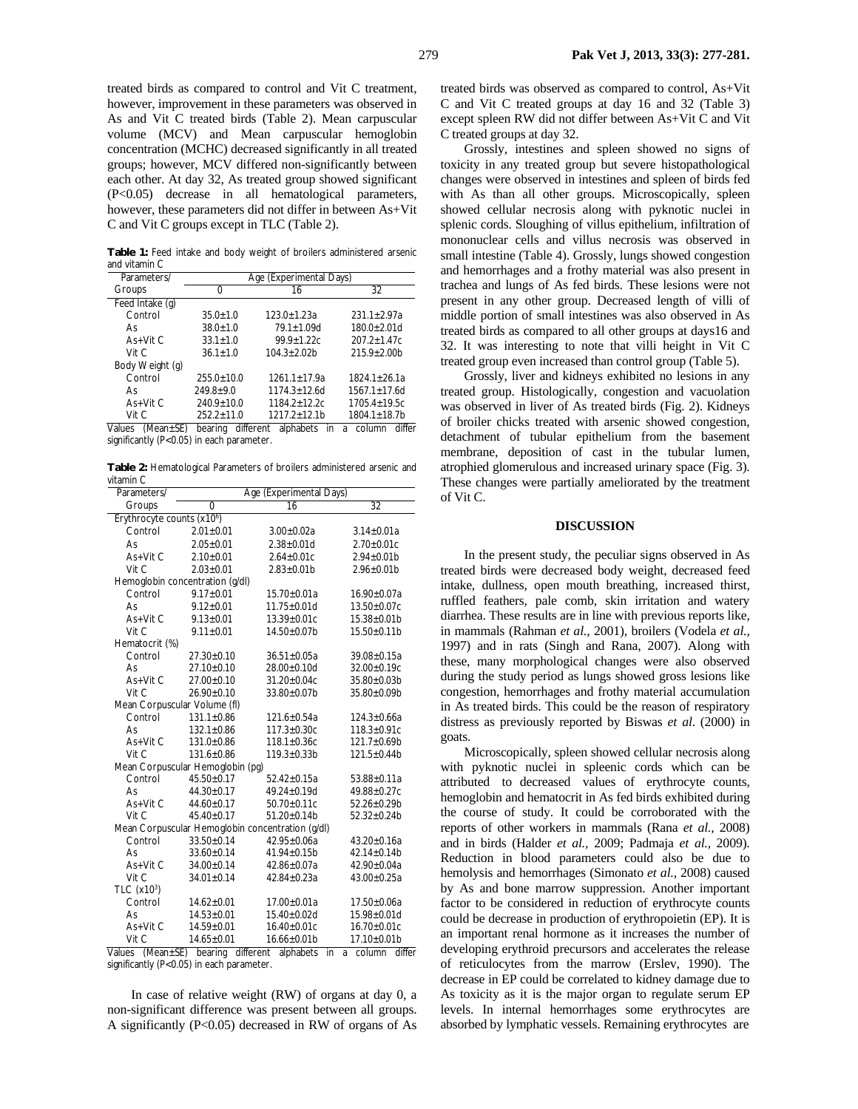treated birds as compared to control and Vit C treatment, however, improvement in these parameters was observed in As and Vit C treated birds (Table 2). Mean carpuscular volume (MCV) and Mean carpuscular hemoglobin concentration (MCHC) decreased significantly in all treated groups; however, MCV differed non-significantly between each other. At day 32, As treated group showed significant (P<0.05) decrease in all hematological parameters, however, these parameters did not differ in between As+Vit C and Vit C groups except in TLC (Table 2).

**Table 1:** Feed intake and body weight of broilers administered arsenic and vitamin C

| Parameters/     | Age (Experimental Days) |                  |                  |
|-----------------|-------------------------|------------------|------------------|
| Groups          | $\mathbf{I}$            | 16               | 32               |
| Feed Intake (g) |                         |                  |                  |
| Control         | $35.0 + 1.0$            | $123.0 + 1.23a$  | $231.1 + 2.97a$  |
| A٢              | $38.0 + 1.0$            | 79.1+1.09d       | $180.0 + 2.01d$  |
| $As+V$ it C     | $33.1 + 1.0$            | $99.9 \pm 1.22c$ | $207.2 + 1.47c$  |
| Vit C           | $36.1 + 1.0$            | $104.3 + 2.02b$  | $215.9 \pm 2.00$ |
| Body Weight (g) |                         |                  |                  |
| Control         | $255.0 + 10.0$          | $1261.1 + 17.9a$ | $1824.1 + 26.1a$ |
| A٢              | $249.8+9.0$             | $1174.3 + 12.6d$ | $1567.1 + 17.6d$ |
| $As+V$ it C     | $240.9 + 10.0$          | 1184.2+12.2c     | $1705.4 + 19.5c$ |
| Vit C           | $252.2 + 11.0$          | 1217.2+12.1b     | 1804.1+18.7b     |

Values (Mean±SE) bearing different alphabets in a column differ significantly (P<0.05) in each parameter.

**Table 2:** Hematological Parameters of broilers administered arsenic and vitamin C

| Parameters/                                      | Age (Experimental Days)          |                    |                    |
|--------------------------------------------------|----------------------------------|--------------------|--------------------|
| Groups                                           | $\overline{0}$                   | 16                 | $\overline{32}$    |
| Erythrocyte counts (x10 <sup>6</sup> )           |                                  |                    |                    |
| Control                                          | $2.01 \pm 0.01$                  | $3.00 \pm 0.02a$   | $3.14 \pm 0.01a$   |
| As                                               | $2.05 \pm 0.01$                  | $2.38 \pm 0.01$ d  | $2.70 \pm 0.01c$   |
| As+Vit C                                         | $2.10 \pm 0.01$                  | $2.64 \pm 0.01c$   | $2.94 \pm 0.01$ b  |
| Vit C                                            | $2.03 \pm 0.01$                  | $2.83 \pm 0.01$ b  | $2.96 \pm 0.01$ b  |
|                                                  | Hemoglobin concentration (g/dl)  |                    |                    |
| Control                                          | $9.17 \pm 0.01$                  | $15.70 \pm 0.01a$  | 16.90±0.07a        |
| As                                               | $9.12 \pm 0.01$                  | $11.75 \pm 0.01$ d | 13.50±0.07c        |
| As+Vit C                                         | $9.13 \pm 0.01$                  | 13.39±0.01c        | $15.38 \pm 0.01$ b |
| Vit C                                            | $9.11 \pm 0.01$                  | 14.50±0.07b        | 15.50±0.11b        |
| Hematocrit (%)                                   |                                  |                    |                    |
| Control                                          | $27.30 \pm 0.10$                 | $36.51 \pm 0.05a$  | 39.08±0.15a        |
| As                                               | $27.10 \pm 0.10$                 | 28.00±0.10d        | 32.00±0.19c        |
| $As+V$ it C                                      | $27.00 \pm 0.10$                 | 31.20±0.04c        | 35.80±0.03b        |
| Vit C                                            | $26.90 \pm 0.10$                 | 33.80±0.07b        | 35.80±0.09b        |
| Mean Corpuscular Volume (fl)                     |                                  |                    |                    |
| Control                                          | $131.1 \pm 0.86$                 | $121.6 \pm 0.54a$  | $124.3 \pm 0.66a$  |
| As                                               | $132.1 \pm 0.86$                 | $117.3 \pm 0.30c$  | $118.3 \pm 0.91c$  |
| As+Vit C                                         | 131.0±0.86                       | $118.1 \pm 0.36c$  | 121.7±0.69b        |
| Vit C                                            | $131.6 \pm 0.86$                 | $119.3 \pm 0.33 b$ | 121.5±0.44b        |
|                                                  | Mean Corpuscular Hemoglobin (pg) |                    |                    |
| Control                                          | 45.50±0.17                       | $52.42 \pm 0.15a$  | 53.88±0.11a        |
| As                                               | 44.30±0.17                       | 49.24±0.19d        | 49.88±0.27c        |
| $As+V$ it C                                      | $44.60 \pm 0.17$                 | $50.70 \pm 0.11c$  | $52.26 \pm 0.29$ b |
| Vit C                                            | $45.40 \pm 0.17$                 | 51.20±0.14b        | 52.32±0.24b        |
| Mean Corpuscular Hemoglobin concentration (g/dl) |                                  |                    |                    |
| Control                                          | $33.50 \pm 0.14$                 | $42.95 \pm 0.06a$  | 43.20±0.16a        |
| As                                               | $33.60 \pm 0.14$                 | 41.94±0.15b        | $42.14 \pm 0.14$   |
| As+Vit C                                         | 34.00±0.14                       | 42.86±0.07a        | 42.90±0.04a        |
| Vit C                                            | 34.01±0.14                       | $42.84 \pm 0.23a$  | 43.00±0.25a        |
| TLC $(x10^3)$                                    |                                  |                    |                    |
| Control                                          | $14.62 \pm 0.01$                 | 17.00±0.01a        | 17.50±0.06a        |
| As                                               | $14.53 \pm 0.01$                 | 15.40±0.02d        | 15.98±0.01d        |
| As+Vit C                                         | $14.59 \pm 0.01$                 | 16.40±0.01c        | 16.70±0.01c        |
| Vit C<br>$\sqrt{a}$                              | 14.65±0.01                       | 16.66±0.01b        | 17.10±0.01b        |

Values (Mean±SE) bearing different alphabets in a column differ significantly (P<0.05) in each parameter.

In case of relative weight (RW) of organs at day 0, a non-significant difference was present between all groups. A significantly (P<0.05) decreased in RW of organs of As treated birds was observed as compared to control, As+Vit C and Vit C treated groups at day 16 and 32 (Table 3) except spleen RW did not differ between As+Vit C and Vit C treated groups at day 32.

Grossly, intestines and spleen showed no signs of toxicity in any treated group but severe histopathological changes were observed in intestines and spleen of birds fed with As than all other groups. Microscopically, spleen showed cellular necrosis along with pyknotic nuclei in splenic cords. Sloughing of villus epithelium, infiltration of mononuclear cells and villus necrosis was observed in small intestine (Table 4). Grossly, lungs showed congestion and hemorrhages and a frothy material was also present in trachea and lungs of As fed birds. These lesions were not present in any other group. Decreased length of villi of middle portion of small intestines was also observed in As treated birds as compared to all other groups at days16 and 32. It was interesting to note that villi height in Vit C treated group even increased than control group (Table 5).

Grossly, liver and kidneys exhibited no lesions in any treated group. Histologically, congestion and vacuolation was observed in liver of As treated birds (Fig. 2). Kidneys of broiler chicks treated with arsenic showed congestion, detachment of tubular epithelium from the basement membrane, deposition of cast in the tubular lumen, atrophied glomerulous and increased urinary space (Fig. 3). These changes were partially ameliorated by the treatment of Vit C.

### **DISCUSSION**

In the present study, the peculiar signs observed in As treated birds were decreased body weight, decreased feed intake, dullness, open mouth breathing, increased thirst, ruffled feathers, pale comb, skin irritation and watery diarrhea. These results are in line with previous reports like, in mammals (Rahman *et al.,* 2001), broilers (Vodela *et al.,* 1997) and in rats (Singh and Rana, 2007). Along with these, many morphological changes were also observed during the study period as lungs showed gross lesions like congestion, hemorrhages and frothy material accumulation in As treated birds. This could be the reason of respiratory distress as previously reported by Biswas *et al*. (2000) in goats.

Microscopically, spleen showed cellular necrosis along with pyknotic nuclei in spleenic cords which can be attributed to decreased values of erythrocyte counts, hemoglobin and hematocrit in As fed birds exhibited during the course of study. It could be corroborated with the reports of other workers in mammals (Rana *et al.,* 2008) and in birds (Halder *et al.,* 2009; Padmaja *et al.,* 2009). Reduction in blood parameters could also be due to hemolysis and hemorrhages (Simonato *et al.,* 2008) caused by As and bone marrow suppression. Another important factor to be considered in reduction of erythrocyte counts could be decrease in production of erythropoietin (EP). It is an important renal hormone as it increases the number of developing erythroid precursors and accelerates the release of reticulocytes from the marrow (Erslev, 1990). The decrease in EP could be correlated to kidney damage due to As toxicity as it is the major organ to regulate serum EP levels. In internal hemorrhages some erythrocytes are absorbed by lymphatic vessels. Remaining erythrocytes are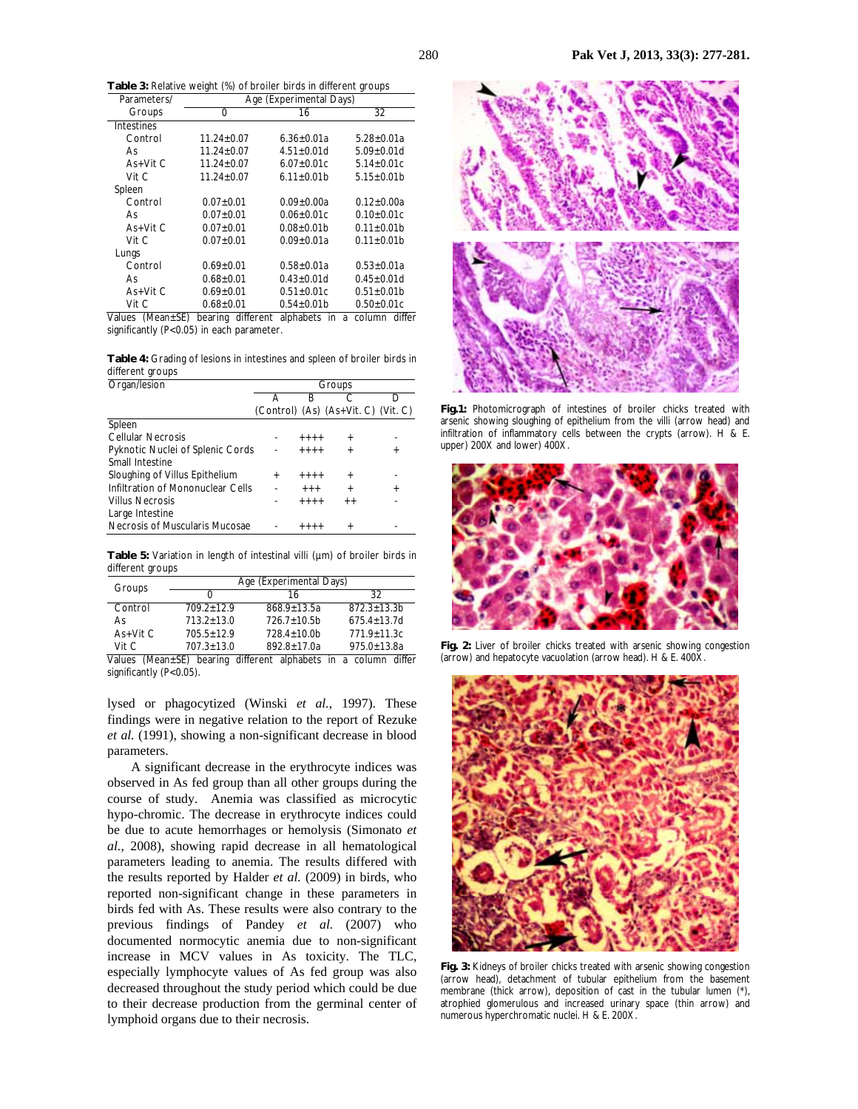**Table 3:** Relative weight (%) of broiler birds in different groups

| Parameters/         | Age (Experimental Days) |                      |                  |
|---------------------|-------------------------|----------------------|------------------|
| Groups              | 0                       | 16                   | 32               |
| Intestines          |                         |                      |                  |
| Control             | $11.24 + 0.07$          | $6.36 + 0.01a$       | $5.28 + 0.01a$   |
| As                  | $11.24 + 0.07$          | $4.51 + 0.01d$       | $5.09 + 0.01d$   |
| $As+V$ it C         | $11.24 + 0.07$          | $6.07 + 0.01c$       | $5.14 + 0.01c$   |
| Vit C               | $11.24 + 0.07$          | $6.11 + 0.01b$       | $5.15+0.01b$     |
| Spleen              |                         |                      |                  |
| Control             | $0.07 + 0.01$           | $0.09 \pm 0.00a$     | $0.12 \pm 0.00a$ |
| As                  | $0.07 + 0.01$           | $0.06 + 0.01c$       | $0.10 + 0.01c$   |
| $As+V$ it C         | $0.07 + 0.01$           | $0.08 + 0.01b$       | $0.11 + 0.01b$   |
| Vit C               | $0.07 + 0.01$           | $0.09 + 0.01a$       | $0.11 + 0.01b$   |
| Lungs               |                         |                      |                  |
| Control             | $0.69 + 0.01$           | $0.58 + 0.01a$       | $0.53 \pm 0.01a$ |
| As                  | $0.68 + 0.01$           | $0.43 + 0.01d$       | $0.45 + 0.01d$   |
| $As+V$ it C         | $0.69 + 0.01$           | $0.51 \pm 0.01c$     | $0.51 \pm 0.01$  |
| Vit C               | $0.68 + 0.01$           | $0.54 \pm 0.01$      | $0.50 \pm 0.01c$ |
| Values<br>(Mean±SE) | bearing<br>different    | alphabets<br>in<br>a | differ<br>column |

significantly (P<0.05) in each parameter.

**Table 4:** Grading of lesions in intestines and spleen of broiler birds in different groups

| Groups                           |        |        |                                                                                            |
|----------------------------------|--------|--------|--------------------------------------------------------------------------------------------|
| д                                | R      |        | D                                                                                          |
|                                  |        |        |                                                                                            |
|                                  |        |        |                                                                                            |
|                                  |        | $^{+}$ |                                                                                            |
| Pyknotic Nuclei of Splenic Cords |        |        |                                                                                            |
|                                  |        |        |                                                                                            |
| $\ddot{}$                        |        | $^{+}$ |                                                                                            |
|                                  | $++++$ | $^{+}$ |                                                                                            |
|                                  |        | $+ +$  |                                                                                            |
|                                  |        |        |                                                                                            |
|                                  |        |        |                                                                                            |
|                                  |        |        | (Control) (As) (As+Vit. C) (Vit. C)<br>$+++++$<br>$+++++$<br>$+++++$<br>$+++++$<br>$+++++$ |

Table 5: Variation in length of intestinal villi (um) of broiler birds in different groups

| Groups      | Age (Experimental Days) |                 |                 |  |
|-------------|-------------------------|-----------------|-----------------|--|
|             |                         | 16              | 32              |  |
| Control     | $7092+129$              | $868.9 + 13.5a$ | $872.3 + 13.3$  |  |
| A٢          | $7132+130$              | $7267+10.5h$    | $675.4 + 13.7d$ |  |
| $As+V$ it C | $705.5 + 12.9$          | $728.4 + 10.0$  | 771.9+11.3c     |  |
| Vit $C$     | $707.3 + 13.0$          | $892.8 + 17.0a$ | $975.0 + 13.8a$ |  |

Values (Mean±SE) bearing different alphabets in a column differ significantly (P<0.05).

lysed or phagocytized (Winski *et al.*, 1997). These findings were in negative relation to the report of Rezuke *et al.* (1991), showing a non-significant decrease in blood parameters.

 A significant decrease in the erythrocyte indices was observed in As fed group than all other groups during the course of study. Anemia was classified as microcytic hypo-chromic. The decrease in erythrocyte indices could be due to acute hemorrhages or hemolysis (Simonato *et al.,* 2008), showing rapid decrease in all hematological parameters leading to anemia. The results differed with the results reported by Halder *et al.* (2009) in birds, who reported non-significant change in these parameters in birds fed with As. These results were also contrary to the previous findings of Pandey *et al.* (2007) who documented normocytic anemia due to non-significant increase in MCV values in As toxicity. The TLC, especially lymphocyte values of As fed group was also decreased throughout the study period which could be due to their decrease production from the germinal center of lymphoid organs due to their necrosis.



**Fig.1:** Photomicrograph of intestines of broiler chicks treated with arsenic showing sloughing of epithelium from the villi (arrow head) and infiltration of inflammatory cells between the crypts (arrow). H & E. upper) 200X and lower) 400X.



**Fig. 2:** Liver of broiler chicks treated with arsenic showing congestion (arrow) and hepatocyte vacuolation (arrow head). H & E. 400X.



**Fig. 3:** Kidneys of broiler chicks treated with arsenic showing congestion (arrow head), detachment of tubular epithelium from the basement membrane (thick arrow), deposition of cast in the tubular lumen (\*), atrophied glomerulous and increased urinary space (thin arrow) and numerous hyperchromatic nuclei. H & E. 200X.